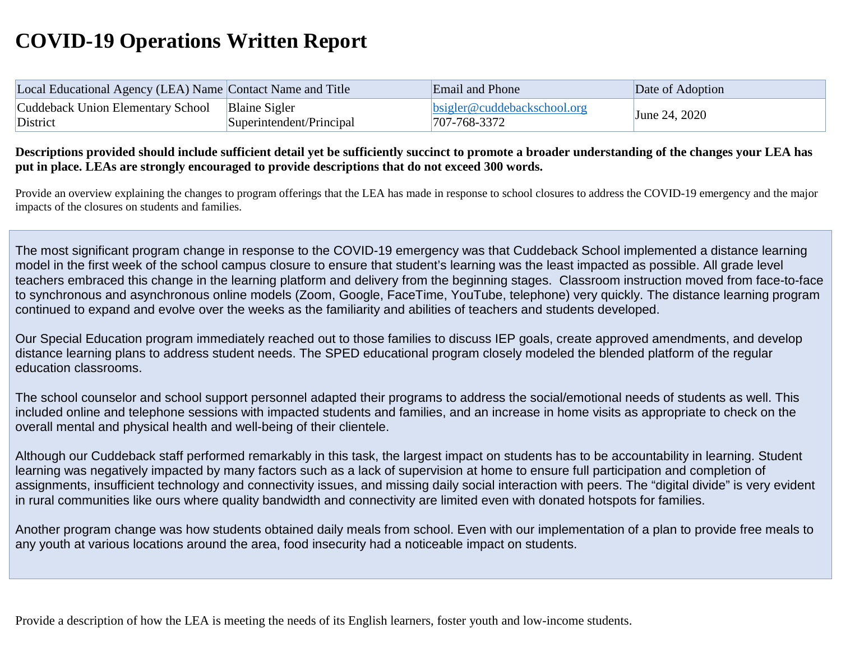## **COVID-19 Operations Written Report**

| Local Educational Agency (LEA) Name Contact Name and Title |                          | Email and Phone                      | Date of Adoption |
|------------------------------------------------------------|--------------------------|--------------------------------------|------------------|
| Cuddeback Union Elementary School                          | <b>Blaine Sigler</b>     | $\text{bsigner@cuddebackschool.org}$ |                  |
| District                                                   | Superintendent/Principal | $1707 - 768 - 3372$                  | June 24, 2020    |

**Descriptions provided should include sufficient detail yet be sufficiently succinct to promote a broader understanding of the changes your LEA has put in place. LEAs are strongly encouraged to provide descriptions that do not exceed 300 words.**

Provide an overview explaining the changes to program offerings that the LEA has made in response to school closures to address the COVID-19 emergency and the major impacts of the closures on students and families.

The most significant program change in response to the COVID-19 emergency was that Cuddeback School implemented a distance learning model in the first week of the school campus closure to ensure that student's learning was the least impacted as possible. All grade level teachers embraced this change in the learning platform and delivery from the beginning stages. Classroom instruction moved from face-to-face to synchronous and asynchronous online models (Zoom, Google, FaceTime, YouTube, telephone) very quickly. The distance learning program continued to expand and evolve over the weeks as the familiarity and abilities of teachers and students developed.

Our Special Education program immediately reached out to those families to discuss IEP goals, create approved amendments, and develop distance learning plans to address student needs. The SPED educational program closely modeled the blended platform of the regular education classrooms.

The school counselor and school support personnel adapted their programs to address the social/emotional needs of students as well. This included online and telephone sessions with impacted students and families, and an increase in home visits as appropriate to check on the overall mental and physical health and well-being of their clientele.

Although our Cuddeback staff performed remarkably in this task, the largest impact on students has to be accountability in learning. Student learning was negatively impacted by many factors such as a lack of supervision at home to ensure full participation and completion of assignments, insufficient technology and connectivity issues, and missing daily social interaction with peers. The "digital divide" is very evident in rural communities like ours where quality bandwidth and connectivity are limited even with donated hotspots for families.

Another program change was how students obtained daily meals from school. Even with our implementation of a plan to provide free meals to any youth at various locations around the area, food insecurity had a noticeable impact on students.

Provide a description of how the LEA is meeting the needs of its English learners, foster youth and low-income students.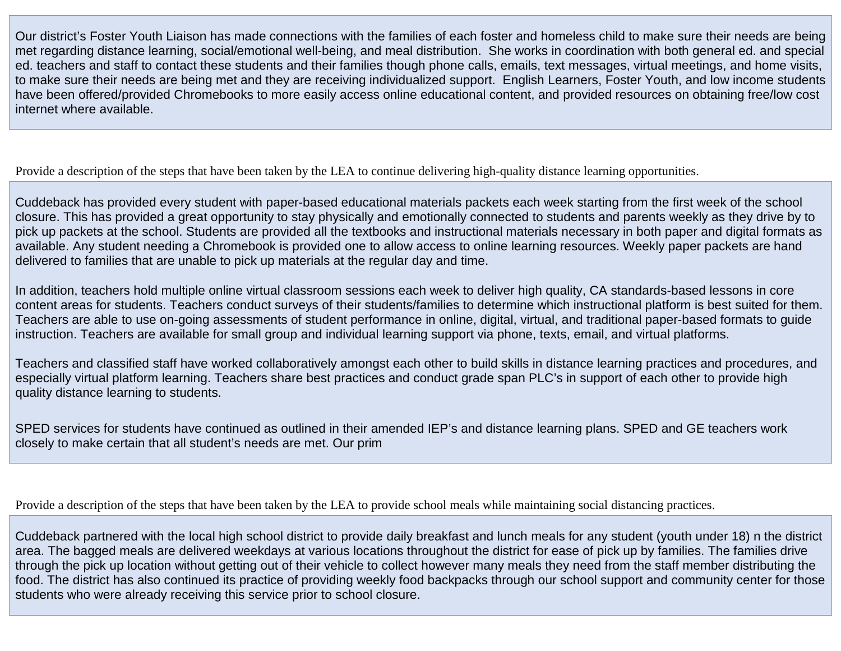Our district's Foster Youth Liaison has made connections with the families of each foster and homeless child to make sure their needs are being met regarding distance learning, social/emotional well-being, and meal distribution. She works in coordination with both general ed. and special ed. teachers and staff to contact these students and their families though phone calls, emails, text messages, virtual meetings, and home visits, to make sure their needs are being met and they are receiving individualized support. English Learners, Foster Youth, and low income students have been offered/provided Chromebooks to more easily access online educational content, and provided resources on obtaining free/low cost internet where available.

Provide a description of the steps that have been taken by the LEA to continue delivering high-quality distance learning opportunities.

Cuddeback has provided every student with paper-based educational materials packets each week starting from the first week of the school closure. This has provided a great opportunity to stay physically and emotionally connected to students and parents weekly as they drive by to pick up packets at the school. Students are provided all the textbooks and instructional materials necessary in both paper and digital formats as available. Any student needing a Chromebook is provided one to allow access to online learning resources. Weekly paper packets are hand delivered to families that are unable to pick up materials at the regular day and time.

In addition, teachers hold multiple online virtual classroom sessions each week to deliver high quality, CA standards-based lessons in core content areas for students. Teachers conduct surveys of their students/families to determine which instructional platform is best suited for them. Teachers are able to use on-going assessments of student performance in online, digital, virtual, and traditional paper-based formats to guide instruction. Teachers are available for small group and individual learning support via phone, texts, email, and virtual platforms.

Teachers and classified staff have worked collaboratively amongst each other to build skills in distance learning practices and procedures, and especially virtual platform learning. Teachers share best practices and conduct grade span PLC's in support of each other to provide high quality distance learning to students.

SPED services for students have continued as outlined in their amended IEP's and distance learning plans. SPED and GE teachers work closely to make certain that all student's needs are met. Our prim

Provide a description of the steps that have been taken by the LEA to provide school meals while maintaining social distancing practices.

Cuddeback partnered with the local high school district to provide daily breakfast and lunch meals for any student (youth under 18) n the district area. The bagged meals are delivered weekdays at various locations throughout the district for ease of pick up by families. The families drive through the pick up location without getting out of their vehicle to collect however many meals they need from the staff member distributing the food. The district has also continued its practice of providing weekly food backpacks through our school support and community center for those students who were already receiving this service prior to school closure.